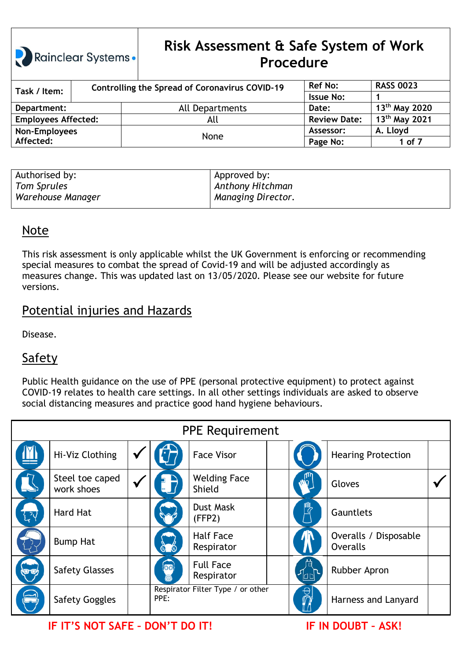## **Risk Assessment & Safe System of Work Procedure**

| Task / Item:               |  | <b>Controlling the Spread of Coronavirus COVID-19</b> | <b>Ref No:</b>      | <b>RASS 0023</b>          |
|----------------------------|--|-------------------------------------------------------|---------------------|---------------------------|
|                            |  |                                                       | <b>Issue No:</b>    |                           |
| Department:                |  | All Departments                                       | Date:               | 13 <sup>th</sup> May 2020 |
| <b>Employees Affected:</b> |  | All                                                   | <b>Review Date:</b> | 13 <sup>th</sup> May 2021 |
| Non-Employees              |  | None                                                  | Assessor:           | A. Lloyd                  |
| Affected:                  |  |                                                       | Page No:            | 1 of 7                    |

| Authorised by:    | Approved by:              |
|-------------------|---------------------------|
| Tom Sprules       | Anthony Hitchman          |
| Warehouse Manager | <b>Managing Director.</b> |

#### Note

This risk assessment is only applicable whilst the UK Government is enforcing or recommending special measures to combat the spread of Covid-19 and will be adjusted accordingly as measures change. This was updated last on 13/05/2020. Please see our website for future versions.

### Potential injuries and Hazards

Disease.

### **Safety**

Public Health guidance on the use of PPE (personal protective equipment) to protect against COVID-19 relates to health care settings. In all other settings individuals are asked to observe social distancing measures and practice good hand hygiene behaviours.

| <b>PPE Requirement</b> |                               |  |             |                                   |  |                                          |  |  |  |  |  |
|------------------------|-------------------------------|--|-------------|-----------------------------------|--|------------------------------------------|--|--|--|--|--|
|                        | Hi-Viz Clothing               |  |             | <b>Face Visor</b>                 |  | <b>Hearing Protection</b>                |  |  |  |  |  |
|                        | Steel toe caped<br>work shoes |  |             | <b>Welding Face</b><br>Shield     |  | Gloves                                   |  |  |  |  |  |
|                        | <b>Hard Hat</b>               |  |             | <b>Dust Mask</b><br>(FFP2)        |  | Gauntlets                                |  |  |  |  |  |
|                        | <b>Bump Hat</b>               |  |             | <b>Half Face</b><br>Respirator    |  | Overalls / Disposable<br><b>Overalls</b> |  |  |  |  |  |
|                        | <b>Safety Glasses</b>         |  | <b>lool</b> | <b>Full Face</b><br>Respirator    |  | Rubber Apron                             |  |  |  |  |  |
|                        | <b>Safety Goggles</b>         |  | PPE:        | Respirator Filter Type / or other |  | Harness and Lanyard                      |  |  |  |  |  |

**IF IT'S NOT SAFE – DON'T DO IT! IF IN DOUBT – ASK!**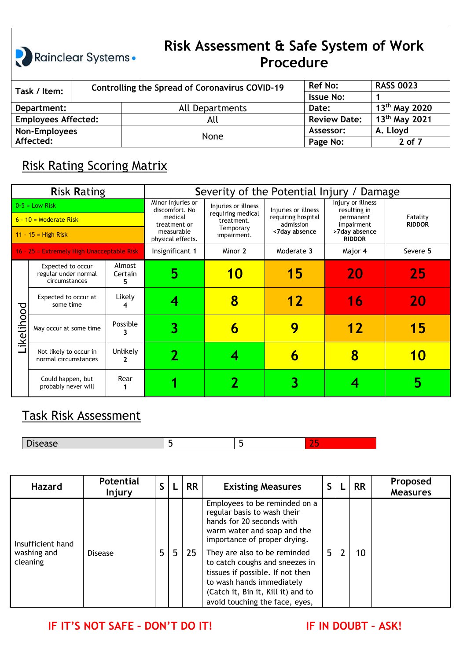# **Risk Assessment & Safe System of Work Procedure**

| Task / Item:               |  | <b>Controlling the Spread of Coronavirus COVID-19</b> | <b>Ref No:</b>      | <b>RASS 0023</b>          |
|----------------------------|--|-------------------------------------------------------|---------------------|---------------------------|
|                            |  |                                                       | <b>Issue No:</b>    |                           |
| Department:                |  | All Departments                                       | Date:               | $13^{th}$ May 2020        |
| <b>Employees Affected:</b> |  | All                                                   | <b>Review Date:</b> | 13 <sup>th</sup> May 2021 |
| Non-Employees              |  |                                                       | Assessor:           | A. Lloyd                  |
| Affected:                  |  | None                                                  | Page No:            | 2 of 7                    |

### Risk Rating Scoring Matrix

|                                                                       | <b>Risk Rating</b>                                         |                        | Severity of the Potential Injury / Damage                                                         |                                                                                    |                                                                         |                                                                                                |                           |  |  |  |
|-----------------------------------------------------------------------|------------------------------------------------------------|------------------------|---------------------------------------------------------------------------------------------------|------------------------------------------------------------------------------------|-------------------------------------------------------------------------|------------------------------------------------------------------------------------------------|---------------------------|--|--|--|
| $0-5$ = Low Risk<br>$6 - 10 =$ Moderate Risk<br>$11 - 15 =$ High Risk |                                                            |                        | Minor injuries or<br>discomfort, No<br>medical<br>treatment or<br>measurable<br>physical effects. | Injuries or illness<br>requiring medical<br>treatment.<br>Temporary<br>impairment. | Injuries or illness<br>requiring hospital<br>admission<br><7day absence | Injury or illness<br>resulting in<br>permanent<br>impairment<br>>7day absence<br><b>RIDDOR</b> | Fatality<br><b>RIDDOR</b> |  |  |  |
|                                                                       | 16 - 25 = Extremely High Unacceptable Risk                 |                        | Insignificant 1                                                                                   | Minor 2                                                                            | Moderate 3                                                              | Major 4                                                                                        | Severe 5                  |  |  |  |
|                                                                       | Expected to occur<br>regular under normal<br>circumstances | Almost<br>Certain<br>5 | 5                                                                                                 | 10                                                                                 | 15                                                                      | 20                                                                                             | 25                        |  |  |  |
|                                                                       | Expected to occur at<br>some time                          | Likely                 |                                                                                                   |                                                                                    | 12                                                                      | 16                                                                                             | 20                        |  |  |  |
| ikelihood                                                             | May occur at some time                                     | Possible               |                                                                                                   | n                                                                                  | 9                                                                       | 12                                                                                             | 15                        |  |  |  |
|                                                                       | Not likely to occur in<br>normal circumstances             | <b>Unlikely</b>        |                                                                                                   |                                                                                    | 6                                                                       | 8                                                                                              |                           |  |  |  |
|                                                                       | Could happen, but<br>probably never will                   | Rear                   |                                                                                                   |                                                                                    |                                                                         |                                                                                                |                           |  |  |  |

### Task Risk Assessment

| wuu |  | $\sim$<br><b>Service</b> |
|-----|--|--------------------------|

| <b>Hazard</b>                                | <b>Potential</b><br><b>Injury</b> |   |                | <b>RR</b> | <b>Existing Measures</b>                                                                                                                                                                                                                                                                                                                                            | S  |   | <b>RR</b> | Proposed<br><b>Measures</b> |
|----------------------------------------------|-----------------------------------|---|----------------|-----------|---------------------------------------------------------------------------------------------------------------------------------------------------------------------------------------------------------------------------------------------------------------------------------------------------------------------------------------------------------------------|----|---|-----------|-----------------------------|
| Insufficient hand<br>washing and<br>cleaning | <b>Disease</b>                    | 5 | 5 <sup>5</sup> | 25        | Employees to be reminded on a<br>regular basis to wash their<br>hands for 20 seconds with<br>warm water and soap and the<br>importance of proper drying.<br>They are also to be reminded<br>to catch coughs and sneezes in<br>tissues if possible. If not then<br>to wash hands immediately<br>(Catch it, Bin it, Kill it) and to<br>avoid touching the face, eyes, | 5. | 2 | 10        |                             |

**IF IT'S NOT SAFE – DON'T DO IT! IF IN DOUBT – ASK!**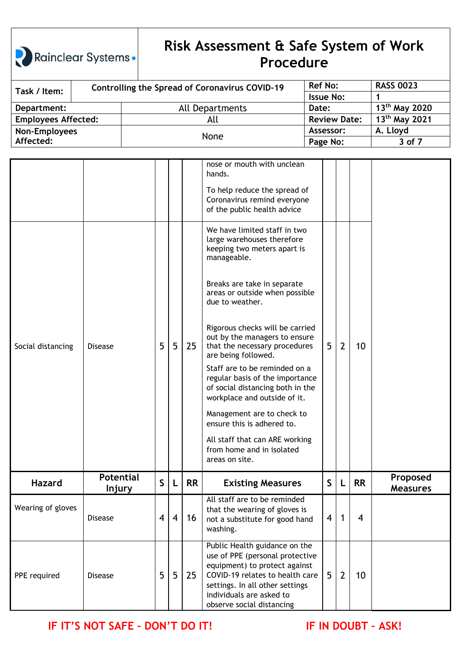# **Risk Assessment & Safe System of Work Procedure**

| Task / Item:               |  | <b>Controlling the Spread of Coronavirus COVID-19</b> | <b>Ref No:</b>      | <b>RASS 0023</b>          |
|----------------------------|--|-------------------------------------------------------|---------------------|---------------------------|
|                            |  |                                                       | <b>Issue No:</b>    |                           |
| Department:                |  | All Departments                                       | Date:               | 13 <sup>th</sup> May 2020 |
| <b>Employees Affected:</b> |  | All                                                   | <b>Review Date:</b> | 13 <sup>th</sup> May 2021 |
| Non-Employees              |  |                                                       | Assessor:           | A. Lloyd                  |
| Affected:                  |  | None                                                  | Page No:            | 3 of 7                    |

|                   |                            |   |   |           | nose or mouth with unclean<br>hands.                                                                                                                                                                                             |                |                |                |                             |
|-------------------|----------------------------|---|---|-----------|----------------------------------------------------------------------------------------------------------------------------------------------------------------------------------------------------------------------------------|----------------|----------------|----------------|-----------------------------|
|                   |                            |   |   |           | To help reduce the spread of<br>Coronavirus remind everyone<br>of the public health advice                                                                                                                                       |                |                |                |                             |
|                   |                            |   |   |           | We have limited staff in two<br>large warehouses therefore<br>keeping two meters apart is<br>manageable.                                                                                                                         |                |                |                |                             |
|                   |                            |   |   |           | Breaks are take in separate<br>areas or outside when possible<br>due to weather.                                                                                                                                                 |                |                |                |                             |
| Social distancing | <b>Disease</b>             | 5 | 5 | 25        | Rigorous checks will be carried<br>out by the managers to ensure<br>that the necessary procedures<br>are being followed.                                                                                                         | 5 <sup>5</sup> | $\overline{2}$ | 10             |                             |
|                   |                            |   |   |           | Staff are to be reminded on a<br>regular basis of the importance<br>of social distancing both in the<br>workplace and outside of it.                                                                                             |                |                |                |                             |
|                   |                            |   |   |           | Management are to check to<br>ensure this is adhered to.                                                                                                                                                                         |                |                |                |                             |
|                   |                            |   |   |           | All staff that can ARE working<br>from home and in isolated<br>areas on site.                                                                                                                                                    |                |                |                |                             |
| <b>Hazard</b>     | <b>Potential</b><br>Injury | S | L | <b>RR</b> | <b>Existing Measures</b>                                                                                                                                                                                                         | S              | L              | <b>RR</b>      | Proposed<br><b>Measures</b> |
| Wearing of gloves | <b>Disease</b>             | 4 | 4 | 16        | All staff are to be reminded<br>that the wearing of gloves is<br>not a substitute for good hand<br>washing.                                                                                                                      | 4              | 1              | $\overline{4}$ |                             |
| PPE required      | <b>Disease</b>             | 5 | 5 | 25        | Public Health guidance on the<br>use of PPE (personal protective<br>equipment) to protect against<br>COVID-19 relates to health care<br>settings. In all other settings<br>individuals are asked to<br>observe social distancing | 5 <sup>5</sup> | $\overline{2}$ | 10             |                             |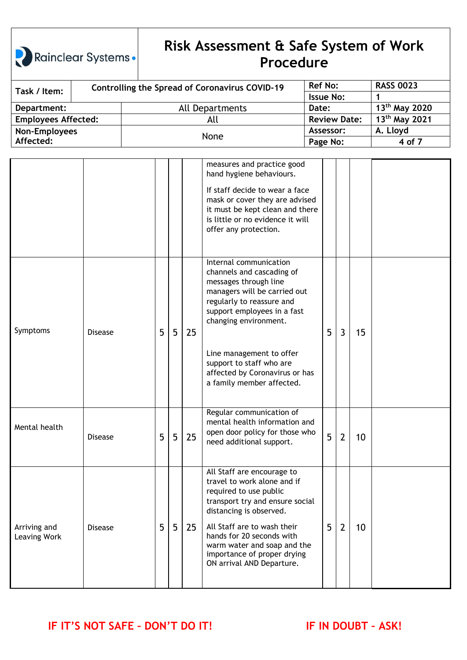## **Risk Assessment & Safe System of Work Procedure**

| Task / Item:               |  | <b>Controlling the Spread of Coronavirus COVID-19</b> | <b>Ref No:</b>      | <b>RASS 0023</b>          |
|----------------------------|--|-------------------------------------------------------|---------------------|---------------------------|
|                            |  |                                                       | <b>Issue No:</b>    |                           |
| Department:                |  | All Departments                                       | Date:               | 13 <sup>th</sup> May 2020 |
| <b>Employees Affected:</b> |  | All                                                   | <b>Review Date:</b> | 13 <sup>th</sup> May 2021 |
| Non-Employees              |  |                                                       | Assessor:           | A. Lloyd                  |
| Affected:                  |  | None                                                  | Page No:            | 4 of 7                    |

|                              |                |   |                |    | measures and practice good<br>hand hygiene behaviours.<br>If staff decide to wear a face<br>mask or cover they are advised<br>it must be kept clean and there<br>is little or no evidence it will<br>offer any protection.                                                                                               |   |                |    |  |
|------------------------------|----------------|---|----------------|----|--------------------------------------------------------------------------------------------------------------------------------------------------------------------------------------------------------------------------------------------------------------------------------------------------------------------------|---|----------------|----|--|
| Symptoms                     | <b>Disease</b> | 5 | 5              | 25 | Internal communication<br>channels and cascading of<br>messages through line<br>managers will be carried out<br>regularly to reassure and<br>support employees in a fast<br>changing environment.<br>Line management to offer<br>support to staff who are<br>affected by Coronavirus or has<br>a family member affected. | 5 | $\overline{3}$ | 15 |  |
| Mental health                | <b>Disease</b> | 5 | 5              | 25 | Regular communication of<br>mental health information and<br>open door policy for those who<br>need additional support.                                                                                                                                                                                                  | 5 | $\overline{2}$ | 10 |  |
| Arriving and<br>Leaving Work | <b>Disease</b> | 5 | $5\phantom{.}$ | 25 | All Staff are encourage to<br>travel to work alone and if<br>required to use public<br>transport try and ensure social<br>distancing is observed.<br>All Staff are to wash their<br>hands for 20 seconds with<br>warm water and soap and the<br>importance of proper drying<br>ON arrival AND Departure.                 | 5 | $\overline{2}$ | 10 |  |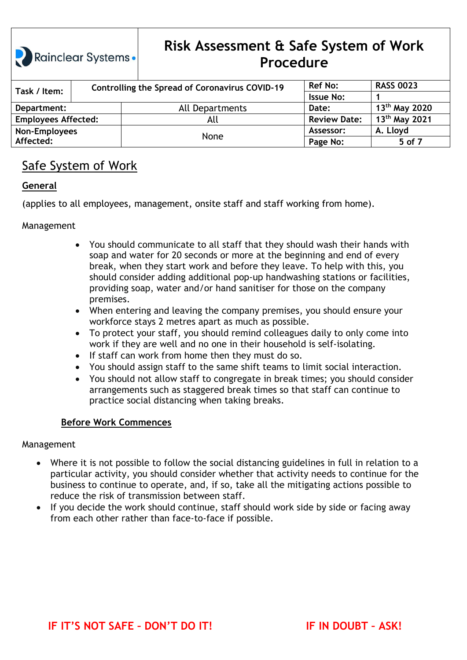# **Risk Assessment & Safe System of Work Procedure**

| Task / Item:               |  | <b>Controlling the Spread of Coronavirus COVID-19</b> | <b>Ref No:</b>      | <b>RASS 0023</b>          |
|----------------------------|--|-------------------------------------------------------|---------------------|---------------------------|
|                            |  |                                                       | <b>Issue No:</b>    |                           |
| Department:                |  | All Departments                                       | Date:               | 13 <sup>th</sup> May 2020 |
| <b>Employees Affected:</b> |  | All                                                   | <b>Review Date:</b> | 13 <sup>th</sup> May 2021 |
| Non-Employees              |  |                                                       | Assessor:           | A. Lloyd                  |
| Affected:                  |  | None                                                  | Page No:            | 5 of 7                    |

### Safe System of Work

#### **General**

(applies to all employees, management, onsite staff and staff working from home).

#### Management

- You should communicate to all staff that they should wash their hands with soap and water for 20 seconds or more at the beginning and end of every break, when they start work and before they leave. To help with this, you should consider adding additional pop-up handwashing stations or facilities, providing soap, water and/or hand sanitiser for those on the company premises.
- When entering and leaving the company premises, you should ensure your workforce stays 2 metres apart as much as possible.
- To protect your staff, you should remind colleagues daily to only come into work if they are well and no one in their household is self-isolating.
- If staff can work from home then they must do so.
- You should assign staff to the same shift teams to limit social interaction.
- You should not allow staff to congregate in break times; you should consider arrangements such as staggered break times so that staff can continue to practice social distancing when taking breaks.

#### **Before Work Commences**

#### Management

- Where it is not possible to follow the social distancing guidelines in full in relation to a particular activity, you should consider whether that activity needs to continue for the business to continue to operate, and, if so, take all the mitigating actions possible to reduce the risk of transmission between staff.
- If you decide the work should continue, staff should work side by side or facing away from each other rather than face-to-face if possible.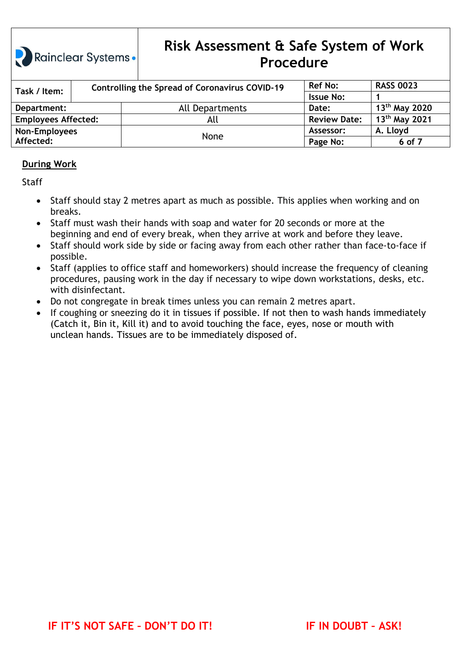# **Risk Assessment & Safe System of Work Procedure**

| Task / Item:               | <b>Controlling the Spread of Coronavirus COVID-19</b> |                 | <b>Ref No:</b>      | <b>RASS 0023</b>          |
|----------------------------|-------------------------------------------------------|-----------------|---------------------|---------------------------|
|                            |                                                       |                 | <b>Issue No:</b>    |                           |
| Department:                |                                                       | All Departments | Date:               | $13^{th}$ May 2020        |
| <b>Employees Affected:</b> |                                                       | All             | <b>Review Date:</b> | 13 <sup>th</sup> May 2021 |
| Non-Employees              |                                                       | None            | Assessor:           | A. Lloyd                  |
| Affected:                  |                                                       |                 | Page No:            | 6 of 7                    |

#### **During Work**

**Staff** 

- Staff should stay 2 metres apart as much as possible. This applies when working and on breaks.
- Staff must wash their hands with soap and water for 20 seconds or more at the beginning and end of every break, when they arrive at work and before they leave.
- Staff should work side by side or facing away from each other rather than face-to-face if possible.
- Staff (applies to office staff and homeworkers) should increase the frequency of cleaning procedures, pausing work in the day if necessary to wipe down workstations, desks, etc. with disinfectant.
- Do not congregate in break times unless you can remain 2 metres apart.
- If coughing or sneezing do it in tissues if possible. If not then to wash hands immediately (Catch it, Bin it, Kill it) and to avoid touching the face, eyes, nose or mouth with unclean hands. Tissues are to be immediately disposed of.